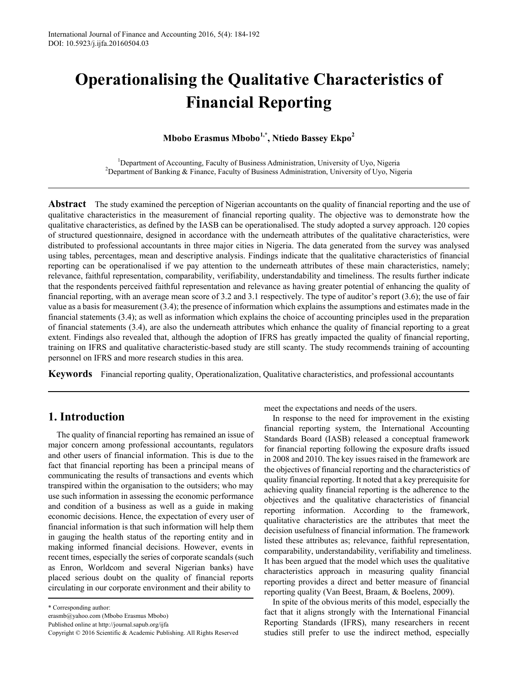# **Operationalising the Qualitative Characteristics of Financial Reporting**

# **Mbobo Erasmus Mbobo1,\*, Ntiedo Bassey Ekpo<sup>2</sup>**

<sup>1</sup>Department of Accounting, Faculty of Business Administration, University of Uyo, Nigeria<sup>2</sup><br><sup>2</sup>Department of Banking & Finance, Faculty of Business Administration, University of Uyo, Nig <sup>2</sup>Department of Banking & Finance, Faculty of Business Administration, University of Uyo, Nigeria

**Abstract** The study examined the perception of Nigerian accountants on the quality of financial reporting and the use of qualitative characteristics in the measurement of financial reporting quality. The objective was to demonstrate how the qualitative characteristics, as defined by the IASB can be operationalised. The study adopted a survey approach. 120 copies of structured questionnaire, designed in accordance with the underneath attributes of the qualitative characteristics, were distributed to professional accountants in three major cities in Nigeria. The data generated from the survey was analysed using tables, percentages, mean and descriptive analysis. Findings indicate that the qualitative characteristics of financial reporting can be operationalised if we pay attention to the underneath attributes of these main characteristics, namely; relevance, faithful representation, comparability, verifiability, understandability and timeliness. The results further indicate that the respondents perceived faithful representation and relevance as having greater potential of enhancing the quality of financial reporting, with an average mean score of 3.2 and 3.1 respectively. The type of auditor's report (3.6); the use of fair value as a basis for measurement (3.4); the presence of information which explains the assumptions and estimates made in the financial statements (3.4); as well as information which explains the choice of accounting principles used in the preparation of financial statements (3.4), are also the underneath attributes which enhance the quality of financial reporting to a great extent. Findings also revealed that, although the adoption of IFRS has greatly impacted the quality of financial reporting, training on IFRS and qualitative characteristic-based study are still scanty. The study recommends training of accounting personnel on IFRS and more research studies in this area.

**Keywords** Financial reporting quality, Operationalization, Qualitative characteristics, and professional accountants

# **1. Introduction**

The quality of financial reporting has remained an issue of major concern among professional accountants, regulators and other users of financial information. This is due to the fact that financial reporting has been a principal means of communicating the results of transactions and events which transpired within the organisation to the outsiders; who may use such information in assessing the economic performance and condition of a business as well as a guide in making economic decisions. Hence, the expectation of every user of financial information is that such information will help them in gauging the health status of the reporting entity and in making informed financial decisions. However, events in recent times, especially the series of corporate scandals (such as Enron, Worldcom and several Nigerian banks) have placed serious doubt on the quality of financial reports circulating in our corporate environment and their ability to

Published online at http://journal.sapub.org/ijfa

meet the expectations and needs of the users.

In response to the need for improvement in the existing financial reporting system, the International Accounting Standards Board (IASB) released a conceptual framework for financial reporting following the exposure drafts issued in 2008 and 2010. The key issues raised in the framework are the objectives of financial reporting and the characteristics of quality financial reporting. It noted that a key prerequisite for achieving quality financial reporting is the adherence to the objectives and the qualitative characteristics of financial reporting information. According to the framework, qualitative characteristics are the attributes that meet the decision usefulness of financial information. The framework listed these attributes as; relevance, faithful representation, comparability, understandability, verifiability and timeliness. It has been argued that the model which uses the qualitative characteristics approach in measuring quality financial reporting provides a direct and better measure of financial reporting quality (Van Beest, Braam, & Boelens, 2009).

In spite of the obvious merits of this model, especially the fact that it aligns strongly with the International Financial Reporting Standards (IFRS), many researchers in recent studies still prefer to use the indirect method, especially

<sup>\*</sup> Corresponding author:

[erasmb@yahoo.com](mailto:erasmb@yahoo.com) (Mbobo Erasmus Mbobo)

Copyright © 2016 Scientific & Academic Publishing. All Rights Reserved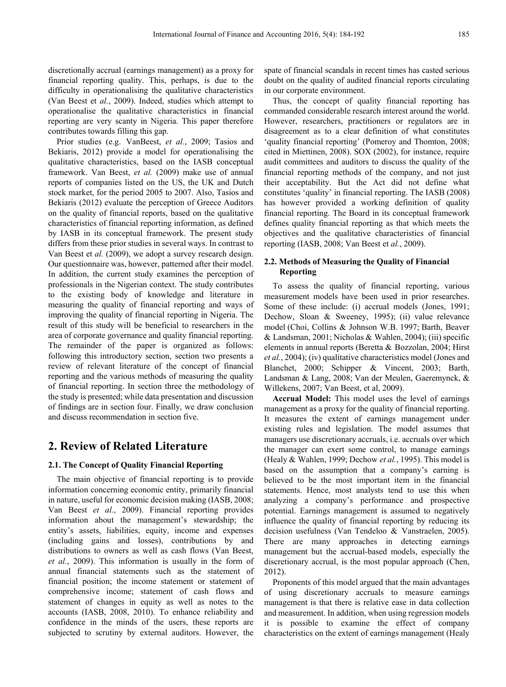discretionally accrual (earnings management) as a proxy for financial reporting quality. This, perhaps, is due to the difficulty in operationalising the qualitative characteristics (Van Beest et *al.*, 2009). Indeed, studies which attempt to operationalise the qualitative characteristics in financial reporting are very scanty in Nigeria. This paper therefore contributes towards filling this gap.

Prior studies (e.g. VanBeest, *et al.*, 2009; Tasios and Bekiaris, 2012) provide a model for operationalising the qualitative characteristics, based on the IASB conceptual framework. Van Beest, *et al.* (2009) make use of annual reports of companies listed on the US, the UK and Dutch stock market, for the period 2005 to 2007. Also, Tasios and Bekiaris (2012) evaluate the perception of Greece Auditors on the quality of financial reports, based on the qualitative characteristics of financial reporting information, as defined by IASB in its conceptual framework. The present study differs from these prior studies in several ways. In contrast to Van Beest et *al.* (2009), we adopt a survey research design. Our questionnaire was, however, patterned after their model. In addition, the current study examines the perception of professionals in the Nigerian context. The study contributes to the existing body of knowledge and literature in measuring the quality of financial reporting and ways of improving the quality of financial reporting in Nigeria. The result of this study will be beneficial to researchers in the area of corporate governance and quality financial reporting. The remainder of the paper is organized as follows: following this introductory section, section two presents a review of relevant literature of the concept of financial reporting and the various methods of measuring the quality of financial reporting. In section three the methodology of the study is presented; while data presentation and discussion of findings are in section four. Finally, we draw conclusion and discuss recommendation in section five.

# **2. Review of Related Literature**

#### **2.1. The Concept of Quality Financial Reporting**

The main objective of financial reporting is to provide information concerning economic entity, primarily financial in nature, useful for economic decision making (IASB, 2008; Van Beest *et al.*, 2009). Financial reporting provides information about the management's stewardship; the entity's assets, liabilities, equity, income and expenses (including gains and losses), contributions by and distributions to owners as well as cash flows (Van Beest, *et al.*, 2009). This information is usually in the form of annual financial statements such as the statement of financial position; the income statement or statement of comprehensive income; statement of cash flows and statement of changes in equity as well as notes to the accounts (IASB, 2008, 2010). To enhance reliability and confidence in the minds of the users, these reports are subjected to scrutiny by external auditors. However, the spate of financial scandals in recent times has casted serious doubt on the quality of audited financial reports circulating in our corporate environment.

Thus, the concept of quality financial reporting has commanded considerable research interest around the world. However, researchers, practitioners or regulators are in disagreement as to a clear definition of what constitutes 'quality financial reporting' (Pomeroy and Thomton, 2008; cited in Miettinen, 2008). SOX (2002), for instance, require audit committees and auditors to discuss the quality of the financial reporting methods of the company, and not just their acceptability. But the Act did not define what constitutes 'quality' in financial reporting. The IASB (2008) has however provided a working definition of quality financial reporting. The Board in its conceptual framework defines quality financial reporting as that which meets the objectives and the qualitative characteristics of financial reporting (IASB, 2008; Van Beest et *al.*, 2009).

#### **2.2. Methods of Measuring the Quality of Financial Reporting**

To assess the quality of financial reporting, various measurement models have been used in prior researches. Some of these include: (i) accrual models (Jones, 1991; Dechow, Sloan & Sweeney, 1995); (ii) value relevance model (Choi, Collins & Johnson W.B. 1997; Barth, Beaver & Landsman, 2001; Nicholas & Wahlen, 2004); (iii) specific elements in annual reports (Beretta & Bozzolan, 2004; Hirst *et al.*, 2004); (iv) qualitative characteristics model (Jones and Blanchet, 2000; Schipper & Vincent, 2003; Barth, Landsman & Lang, 2008; Van der Meulen, Gaeremynck, & Willekens, 2007; Van Beest, et al, 2009).

**Accrual Model:** This model uses the level of earnings management as a proxy for the quality of financial reporting. It measures the extent of earnings management under existing rules and legislation. The model assumes that managers use discretionary accruals, i.e. accruals over which the manager can exert some control, to manage earnings (Healy & Wahlen, 1999; Dechow *et al.*, 1995). This model is based on the assumption that a company's earning is believed to be the most important item in the financial statements. Hence, most analysts tend to use this when analyzing a company's performance and prospective potential. Earnings management is assumed to negatively influence the quality of financial reporting by reducing its decision usefulness (Van Tendeloo & Vanstraelen, 2005). There are many approaches in detecting earnings management but the accrual-based models, especially the discretionary accrual, is the most popular approach (Chen, 2012).

Proponents of this model argued that the main advantages of using discretionary accruals to measure earnings management is that there is relative ease in data collection and measurement. In addition, when using regression models it is possible to examine the effect of company characteristics on the extent of earnings management (Healy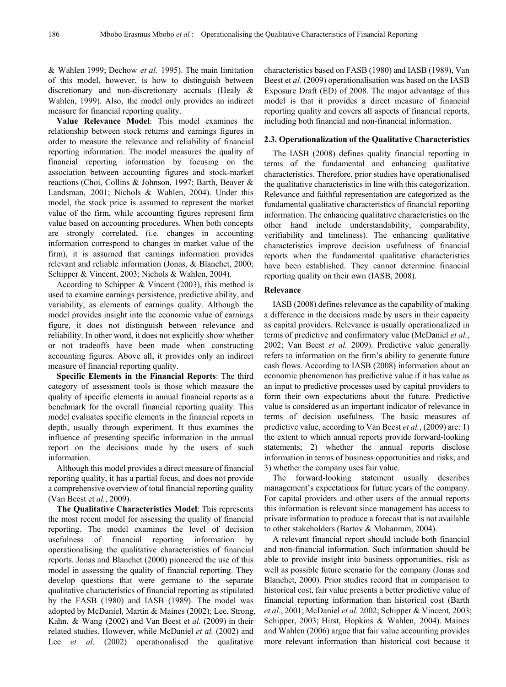& Wahlen 1999; Dechow *et al.* 1995). The main limitation of this model, however, is how to distinguish between discretionary and non-discretionary accruals (Healy & Wahlen, 1999). Also, the model only provides an indirect measure for financial reporting quality.

**Value Relevance Model**: This model examines the relationship between stock returns and earnings figures in order to measure the relevance and reliability of financial reporting information. The model measures the quality of financial reporting information by focusing on the association between accounting figures and stock-market reactions (Choi, Collins & Johnson, 1997; Barth, Beaver & Landsman, 2001; Nichols & Wahlen, 2004). Under this model, the stock price is assumed to represent the market value of the firm, while accounting figures represent firm value based on accounting procedures. When both concepts are strongly correlated, (i.e. changes in accounting information correspond to changes in market value of the firm), it is assumed that earnings information provides relevant and reliable information (Jonas, & Blanchet, 2000; Schipper & Vincent, 2003; Nichols & Wahlen, 2004).

According to Schipper & Vincent (2003), this method is used to examine earnings persistence, predictive ability, and variability, as elements of earnings quality. Although the model provides insight into the economic value of earnings figure, it does not distinguish between relevance and reliability. In other word, it does not explicitly show whether or not tradeoffs have been made when constructing accounting figures. Above all, it provides only an indirect measure of financial reporting quality.

**Specific Elements in the Financial Reports**: The third category of assessment tools is those which measure the quality of specific elements in annual financial reports as a benchmark for the overall financial reporting quality. This model evaluates specific elements in the financial reports in depth, usually through experiment. It thus examines the influence of presenting specific information in the annual report on the decisions made by the users of such information.

Although this model provides a direct measure of financial reporting quality, it has a partial focus, and does not provide a comprehensive overview of total financial reporting quality (Van Beest et *al.*, 2009).

**The Qualitative Characteristics Model**: This represents the most recent model for assessing the quality of financial reporting. The model examines the level of decision usefulness of financial reporting information by operationalising the qualitative characteristics of financial reports. Jonas and Blanchet (2000) pioneered the use of this model in assessing the quality of financial reporting. They develop questions that were germane to the separate qualitative characteristics of financial reporting as stipulated by the FASB (1980) and IASB (1989). The model was adopted by McDaniel, Martin & Maines (2002); Lee, Strong, Kahn, & Wang (2002) and Van Beest et *al.* (2009) in their related studies. However, while McDaniel *et al.* (2002) and Lee *et al.* (2002) operationalised the qualitative

characteristics based on FASB (1980) and IASB (1989), Van Beest et *al.* (2009) operationalisation was based on the IASB Exposure Draft (ED) of 2008. The major advantage of this model is that it provides a direct measure of financial reporting quality and covers all aspects of financial reports, including both financial and non-financial information.

#### **2.3. Operationalization of the Qualitative Characteristics**

The IASB (2008) defines quality financial reporting in terms of the fundamental and enhancing qualitative characteristics. Therefore, prior studies have operationalised the qualitative characteristics in line with this categorization. Relevance and faithful representation are categorized as the fundamental qualitative characteristics of financial reporting information. The enhancing qualitative characteristics on the other hand include understandability, comparability, verifiability and timeliness). The enhancing qualitative characteristics improve decision usefulness of financial reports when the fundamental qualitative characteristics have been established. They cannot determine financial reporting quality on their own (IASB, 2008).

## **Relevance**

IASB (2008) defines relevance as the capability of making a difference in the decisions made by users in their capacity as capital providers. Relevance is usually operationalized in terms of predictive and confirmatory value (McDaniel *et al.*, 2002; Van Beest *et al.* 2009). Predictive value generally refers to information on the firm's ability to generate future cash flows. According to IASB (2008) information about an economic phenomenon has predictive value if it has value as an input to predictive processes used by capital providers to form their own expectations about the future. Predictive value is considered as an important indicator of relevance in terms of decision usefulness. The basic measures of predictive value, according to Van Beest *et al.*, (2009) are: 1) the extent to which annual reports provide forward-looking statements; 2) whether the annual reports disclose information in terms of business opportunities and risks; and 3) whether the company uses fair value.

The forward-looking statement usually describes management's expectations for future years of the company. For capital providers and other users of the annual reports this information is relevant since management has access to private information to produce a forecast that is not available to other stakeholders (Bartov & Mohanram, 2004).

A relevant financial report should include both financial and non-financial information. Such information should be able to provide insight into business opportunities, risk as well as possible future scenario for the company (Jonas and Blanchet, 2000). Prior studies record that in comparison to historical cost, fair value presents a better predictive value of financial reporting information than historical cost (Barth *et al.*, 2001; McDaniel *et al.* 2002; Schipper & Vincent, 2003; Schipper, 2003; Hirst, Hopkins & Wahlen, 2004). Maines and Wahlen (2006) argue that fair value accounting provides more relevant information than historical cost because it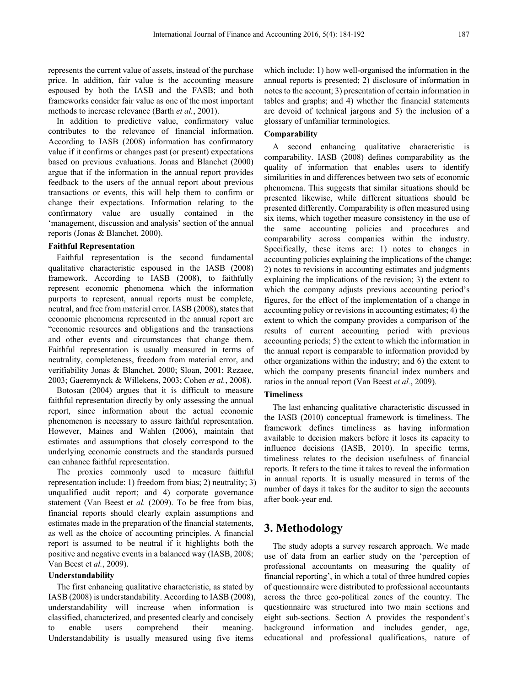represents the current value of assets, instead of the purchase price. In addition, fair value is the accounting measure espoused by both the IASB and the FASB; and both frameworks consider fair value as one of the most important methods to increase relevance (Barth *et al.*, 2001).

In addition to predictive value, confirmatory value contributes to the relevance of financial information. According to IASB (2008) information has confirmatory value if it confirms or changes past (or present) expectations based on previous evaluations. Jonas and Blanchet (2000) argue that if the information in the annual report provides feedback to the users of the annual report about previous transactions or events, this will help them to confirm or change their expectations. Information relating to the confirmatory value are usually contained in the 'management, discussion and analysis' section of the annual reports (Jonas & Blanchet, 2000).

#### **Faithful Representation**

Faithful representation is the second fundamental qualitative characteristic espoused in the IASB (2008) framework. According to IASB (2008), to faithfully represent economic phenomena which the information purports to represent, annual reports must be complete, neutral, and free from material error. IASB (2008), states that economic phenomena represented in the annual report are "economic resources and obligations and the transactions and other events and circumstances that change them. Faithful representation is usually measured in terms of neutrality, completeness, freedom from material error, and verifiability Jonas & Blanchet, 2000; Sloan, 2001; Rezaee, 2003; Gaeremynck & Willekens, 2003; Cohen *et al.*, 2008).

Botosan (2004) argues that it is difficult to measure faithful representation directly by only assessing the annual report, since information about the actual economic phenomenon is necessary to assure faithful representation. However, Maines and Wahlen (2006), maintain that estimates and assumptions that closely correspond to the underlying economic constructs and the standards pursued can enhance faithful representation.

The proxies commonly used to measure faithful representation include: 1) freedom from bias; 2) neutrality; 3) unqualified audit report; and 4) corporate governance statement (Van Beest et *al.* (2009). To be free from bias, financial reports should clearly explain assumptions and estimates made in the preparation of the financial statements, as well as the choice of accounting principles. A financial report is assumed to be neutral if it highlights both the positive and negative events in a balanced way (IASB, 2008; Van Beest et *al.*, 2009).

## **Understandability**

The first enhancing qualitative characteristic, as stated by IASB (2008) is understandability. According to IASB (2008), understandability will increase when information is classified, characterized, and presented clearly and concisely to enable users comprehend their meaning. Understandability is usually measured using five items

which include: 1) how well-organised the information in the annual reports is presented; 2) disclosure of information in notes to the account; 3) presentation of certain information in tables and graphs; and 4) whether the financial statements are devoid of technical jargons and 5) the inclusion of a glossary of unfamiliar terminologies.

## **Comparability**

A second enhancing qualitative characteristic is comparability. IASB (2008) defines comparability as the quality of information that enables users to identify similarities in and differences between two sets of economic phenomena. This suggests that similar situations should be presented likewise, while different situations should be presented differently. Comparability is often measured using six items, which together measure consistency in the use of the same accounting policies and procedures and comparability across companies within the industry. Specifically, these items are: 1) notes to changes in accounting policies explaining the implications of the change; 2) notes to revisions in accounting estimates and judgments explaining the implications of the revision; 3) the extent to which the company adjusts previous accounting period's figures, for the effect of the implementation of a change in accounting policy or revisions in accounting estimates; 4) the extent to which the company provides a comparison of the results of current accounting period with previous accounting periods; 5) the extent to which the information in the annual report is comparable to information provided by other organizations within the industry; and 6) the extent to which the company presents financial index numbers and ratios in the annual report (Van Beest *et al.*, 2009).

#### **Timeliness**

The last enhancing qualitative characteristic discussed in the IASB (2010) conceptual framework is timeliness. The framework defines timeliness as having information available to decision makers before it loses its capacity to influence decisions (IASB, 2010). In specific terms, timeliness relates to the decision usefulness of financial reports. It refers to the time it takes to reveal the information in annual reports. It is usually measured in terms of the number of days it takes for the auditor to sign the accounts after book-year end.

# **3. Methodology**

The study adopts a survey research approach. We made use of data from an earlier study on the 'perception of professional accountants on measuring the quality of financial reporting', in which a total of three hundred copies of questionnaire were distributed to professional accountants across the three geo-political zones of the country. The questionnaire was structured into two main sections and eight sub-sections. Section A provides the respondent's background information and includes gender, age, educational and professional qualifications, nature of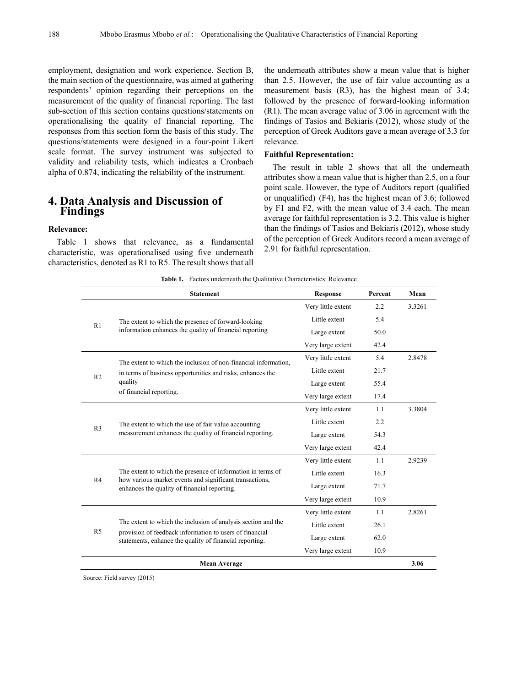employment, designation and work experience. Section B, the main section of the questionnaire, was aimed at gathering respondents' opinion regarding their perceptions on the measurement of the quality of financial reporting. The last sub-section of this section contains questions/statements on operationalising the quality of financial reporting. The responses from this section form the basis of this study. The questions/statements were designed in a four-point Likert scale format. The survey instrument was subjected to validity and reliability tests, which indicates a Cronbach alpha of 0.874, indicating the reliability of the instrument.

## **4. Data Analysis and Discussion of Findings**

## **Relevance:**

Table 1 shows that relevance, as a fundamental characteristic, was operationalised using five underneath characteristics, denoted as R1 to R5. The result shows that all the underneath attributes show a mean value that is higher than 2.5. However, the use of fair value accounting as a measurement basis (R3), has the highest mean of 3.4; followed by the presence of forward-looking information (R1). The mean average value of 3.06 in agreement with the findings of Tasios and Bekiaris (2012), whose study of the perception of Greek Auditors gave a mean average of 3.3 for relevance.

#### **Faithful Representation:**

The result in table 2 shows that all the underneath attributes show a mean value that is higher than 2.5, on a four point scale. However, the type of Auditors report (qualified or unqualified) (F4), has the highest mean of 3.6; followed by F1 and F2, with the mean value of 3.4 each. The mean average for faithful representation is 3.2. This value is higher than the findings of Tasios and Bekiaris (2012), whose study of the perception of Greek Auditors record a mean average of 2.91 for faithful representation.

|  |  |  |  |  | <b>Table 1.</b> Factors underneath the Qualitative Characteristics: Relevance |  |
|--|--|--|--|--|-------------------------------------------------------------------------------|--|
|--|--|--|--|--|-------------------------------------------------------------------------------|--|

|                | <b>Statement</b>                                                                                                                                                       | <b>Response</b>    | Percent | Mean   |
|----------------|------------------------------------------------------------------------------------------------------------------------------------------------------------------------|--------------------|---------|--------|
|                |                                                                                                                                                                        | Very little extent | 2.2     | 3.3261 |
| R1             | The extent to which the presence of forward-looking                                                                                                                    | Little extent      | 5.4     |        |
|                | information enhances the quality of financial reporting                                                                                                                | Large extent       | 50.0    |        |
|                |                                                                                                                                                                        | Very large extent  | 42.4    |        |
|                | The extent to which the inclusion of non-financial information.                                                                                                        | Very little extent | 5.4     | 2.8478 |
|                | in terms of business opportunities and risks, enhances the                                                                                                             | Little extent      | 21.7    |        |
| R <sub>2</sub> | quality                                                                                                                                                                | Large extent       | 55.4    |        |
|                | of financial reporting.                                                                                                                                                | Very large extent  | 17.4    |        |
|                | The extent to which the use of fair value accounting<br>measurement enhances the quality of financial reporting.                                                       | Very little extent | 1.1     | 3.3804 |
| R <sub>3</sub> |                                                                                                                                                                        | Little extent      | 2.2     |        |
|                |                                                                                                                                                                        | Large extent       | 54.3    |        |
|                |                                                                                                                                                                        | Very large extent  | 42.4    |        |
|                | The extent to which the presence of information in terms of<br>how various market events and significant transactions,<br>enhances the quality of financial reporting. | Very little extent | 1.1     | 2.9239 |
|                |                                                                                                                                                                        | Little extent      | 16.3    |        |
| R4             |                                                                                                                                                                        | Large extent       | 71.7    |        |
|                |                                                                                                                                                                        | Very large extent  | 10.9    |        |
|                |                                                                                                                                                                        | Very little extent | 1.1     | 2.8261 |
|                | The extent to which the inclusion of analysis section and the                                                                                                          | Little extent      | 26.1    |        |
| R <sub>5</sub> | provision of feedback information to users of financial<br>statements, enhance the quality of financial reporting.                                                     | Large extent       | 62.0    |        |
|                |                                                                                                                                                                        | Very large extent  | 10.9    |        |
|                | <b>Mean Average</b>                                                                                                                                                    |                    |         | 3.06   |

Source: Field survey (2015)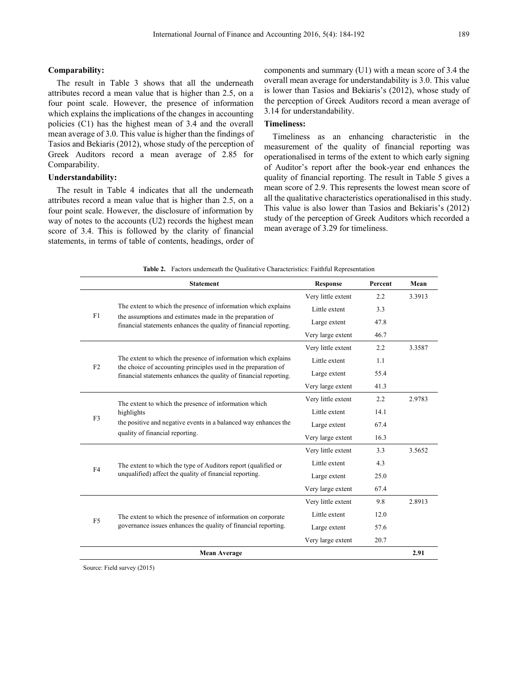## **Comparability:**

The result in Table 3 shows that all the underneath attributes record a mean value that is higher than 2.5, on a four point scale. However, the presence of information which explains the implications of the changes in accounting policies (C1) has the highest mean of 3.4 and the overall mean average of 3.0. This value is higher than the findings of Tasios and Bekiaris (2012), whose study of the perception of Greek Auditors record a mean average of 2.85 for Comparability.

#### **Understandability:**

The result in Table 4 indicates that all the underneath attributes record a mean value that is higher than 2.5, on a four point scale. However, the disclosure of information by way of notes to the accounts (U2) records the highest mean score of 3.4. This is followed by the clarity of financial statements, in terms of table of contents, headings, order of components and summary (U1) with a mean score of 3.4 the overall mean average for understandability is 3.0. This value is lower than Tasios and Bekiaris's (2012), whose study of the perception of Greek Auditors record a mean average of 3.14 for understandability.

## **Timeliness:**

Timeliness as an enhancing characteristic in the measurement of the quality of financial reporting was operationalised in terms of the extent to which early signing of Auditor's report after the book-year end enhances the quality of financial reporting. The result in Table 5 gives a mean score of 2.9. This represents the lowest mean score of all the qualitative characteristics operationalised in this study. This value is also lower than Tasios and Bekiaris's (2012) study of the perception of Greek Auditors which recorded a mean average of 3.29 for timeliness.

|  |  | <b>Table 2.</b> Factors underneath the Qualitative Characteristics: Faithful Representation |  |
|--|--|---------------------------------------------------------------------------------------------|--|
|--|--|---------------------------------------------------------------------------------------------|--|

|                | <b>Statement</b>                                                                                                                                                          | <b>Response</b>    | Percent | Mean   |
|----------------|---------------------------------------------------------------------------------------------------------------------------------------------------------------------------|--------------------|---------|--------|
|                |                                                                                                                                                                           | Very little extent | 2.2     | 3.3913 |
|                | The extent to which the presence of information which explains                                                                                                            | Little extent      | 3.3     |        |
| F1             | the assumptions and estimates made in the preparation of<br>financial statements enhances the quality of financial reporting.                                             | Large extent       | 47.8    |        |
|                |                                                                                                                                                                           | Very large extent  | 46.7    |        |
|                |                                                                                                                                                                           | Very little extent | 2.2     | 3.3587 |
| F2             | The extent to which the presence of information which explains                                                                                                            | Little extent      | 1.1     |        |
|                | the choice of accounting principles used in the preparation of<br>financial statements enhances the quality of financial reporting.                                       | Large extent       | 55.4    |        |
|                |                                                                                                                                                                           | Very large extent  | 41.3    |        |
|                | The extent to which the presence of information which<br>highlights<br>the positive and negative events in a balanced way enhances the<br>quality of financial reporting. | Very little extent | 2.2     | 2.9783 |
| F3             |                                                                                                                                                                           | Little extent      | 14.1    |        |
|                |                                                                                                                                                                           | Large extent       | 67.4    |        |
|                |                                                                                                                                                                           | Very large extent  | 16.3    |        |
|                | The extent to which the type of Auditors report (qualified or<br>unqualified) affect the quality of financial reporting.                                                  | Very little extent | 3.3     | 3.5652 |
| F4             |                                                                                                                                                                           | Little extent      | 4.3     |        |
|                |                                                                                                                                                                           | Large extent       | 25.0    |        |
|                |                                                                                                                                                                           | Very large extent  | 67.4    |        |
|                | The extent to which the presence of information on corporate<br>governance issues enhances the quality of financial reporting.                                            | Very little extent | 9.8     | 2.8913 |
| F <sub>5</sub> |                                                                                                                                                                           | Little extent      | 12.0    |        |
|                |                                                                                                                                                                           | Large extent       | 57.6    |        |
|                |                                                                                                                                                                           | Very large extent  | 20.7    |        |
|                | <b>Mean Average</b>                                                                                                                                                       |                    |         |        |

Source: Field survey (2015)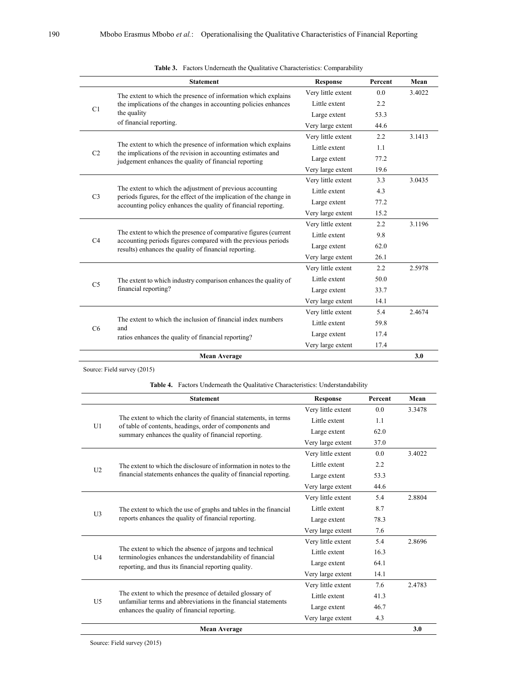|                | <b>Statement</b>                                                                                                                                                                                   | <b>Response</b>    | Percent | Mean   |
|----------------|----------------------------------------------------------------------------------------------------------------------------------------------------------------------------------------------------|--------------------|---------|--------|
|                | The extent to which the presence of information which explains                                                                                                                                     | Very little extent | 0.0     | 3.4022 |
|                | the implications of the changes in accounting policies enhances                                                                                                                                    | Little extent      | 2.2     |        |
| C1             | the quality                                                                                                                                                                                        | Large extent       | 53.3    |        |
|                | of financial reporting.                                                                                                                                                                            | Very large extent  | 44.6    |        |
|                |                                                                                                                                                                                                    | Very little extent | 2.2     | 3.1413 |
| C <sub>2</sub> | The extent to which the presence of information which explains                                                                                                                                     | Little extent      | 1.1     |        |
|                | the implications of the revision in accounting estimates and<br>judgement enhances the quality of financial reporting                                                                              | Large extent       | 77.2    |        |
|                |                                                                                                                                                                                                    | Very large extent  | 19.6    |        |
|                | The extent to which the adjustment of previous accounting<br>periods figures, for the effect of the implication of the change in<br>accounting policy enhances the quality of financial reporting. | Very little extent | 3.3     | 3.0435 |
|                |                                                                                                                                                                                                    | Little extent      | 4.3     |        |
| C <sub>3</sub> |                                                                                                                                                                                                    | Large extent       | 77.2    |        |
|                |                                                                                                                                                                                                    | Very large extent  | 15.2    |        |
|                |                                                                                                                                                                                                    | Very little extent | 2.2     | 3.1196 |
| C4             | The extent to which the presence of comparative figures (current                                                                                                                                   | Little extent      | 9.8     |        |
|                | accounting periods figures compared with the previous periods<br>results) enhances the quality of financial reporting.                                                                             | Large extent       | 62.0    |        |
|                |                                                                                                                                                                                                    | Very large extent  | 26.1    |        |
|                | The extent to which industry comparison enhances the quality of<br>financial reporting?                                                                                                            | Very little extent | 2.2     | 2.5978 |
| C <sub>5</sub> |                                                                                                                                                                                                    | Little extent      | 50.0    |        |
|                |                                                                                                                                                                                                    | Large extent       | 33.7    |        |
|                |                                                                                                                                                                                                    | Very large extent  | 14.1    |        |
|                |                                                                                                                                                                                                    | Very little extent | 5.4     | 2.4674 |
|                | The extent to which the inclusion of financial index numbers<br>and                                                                                                                                | Little extent      | 59.8    |        |
| C6             | ratios enhances the quality of financial reporting?                                                                                                                                                | Large extent       | 17.4    |        |
|                |                                                                                                                                                                                                    | Very large extent  | 17.4    |        |
|                | <b>Mean Average</b>                                                                                                                                                                                |                    |         | 3.0    |

Source: Field survey (2015)

**Table 4.** Factors Underneath the Qualitative Characteristics: Understandability

|                | <b>Statement</b>                                                                                                                                                              | <b>Response</b>    | Percent | Mean   |
|----------------|-------------------------------------------------------------------------------------------------------------------------------------------------------------------------------|--------------------|---------|--------|
|                |                                                                                                                                                                               | Very little extent | 0.0     | 3.3478 |
|                | The extent to which the clarity of financial statements, in terms                                                                                                             | Little extent      | 1.1     |        |
| U1             | of table of contents, headings, order of components and<br>summary enhances the quality of financial reporting.                                                               | Large extent       | 62.0    |        |
|                |                                                                                                                                                                               | Very large extent  | 37.0    |        |
|                |                                                                                                                                                                               | Very little extent | 0.0     | 3.4022 |
|                | The extent to which the disclosure of information in notes to the                                                                                                             | Little extent      | 2.2     |        |
| U2             | financial statements enhances the quality of financial reporting.                                                                                                             | Large extent       | 53.3    |        |
|                |                                                                                                                                                                               | Very large extent  | 44.6    |        |
|                | The extent to which the use of graphs and tables in the financial<br>reports enhances the quality of financial reporting.                                                     | Very little extent | 5.4     | 2.8804 |
| U3             |                                                                                                                                                                               | Little extent      | 8.7     |        |
|                |                                                                                                                                                                               | Large extent       | 78.3    |        |
|                |                                                                                                                                                                               | Very large extent  | 7.6     |        |
|                | The extent to which the absence of jargons and technical<br>terminologies enhances the understandability of financial<br>reporting, and thus its financial reporting quality. | Very little extent | 5.4     | 2.8696 |
|                |                                                                                                                                                                               | Little extent      | 16.3    |        |
| U <sub>4</sub> |                                                                                                                                                                               | Large extent       | 64.1    |        |
|                |                                                                                                                                                                               | Very large extent  | 14.1    |        |
|                |                                                                                                                                                                               | Very little extent | 7.6     | 2.4783 |
|                | The extent to which the presence of detailed glossary of                                                                                                                      | Little extent      | 41.3    |        |
| U <sub>5</sub> | unfamiliar terms and abbreviations in the financial statements<br>enhances the quality of financial reporting.                                                                | Large extent       | 46.7    |        |
|                |                                                                                                                                                                               | Very large extent  | 4.3     |        |
|                | <b>Mean Average</b>                                                                                                                                                           |                    |         | 3.0    |

Source: Field survey (2015)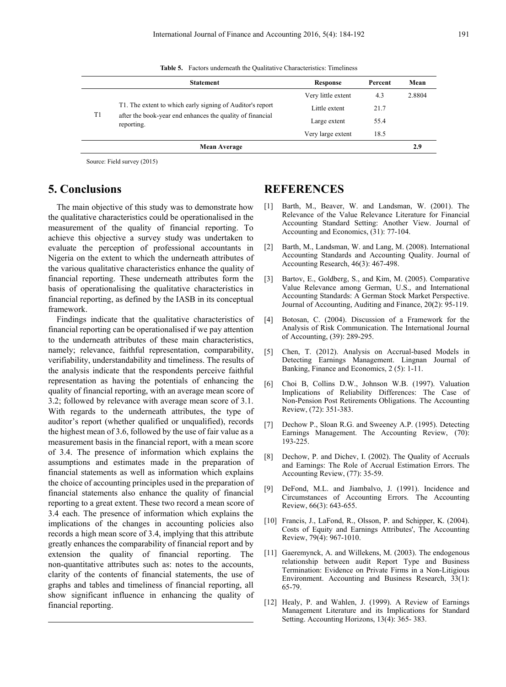|    | <b>Statement</b>                                                                                                                     | Response           | Percent | Mean   |
|----|--------------------------------------------------------------------------------------------------------------------------------------|--------------------|---------|--------|
| T1 | T1. The extent to which early signing of Auditor's report<br>after the book-year end enhances the quality of financial<br>reporting. | Very little extent | 4.3     | 2.8804 |
|    |                                                                                                                                      | Little extent      | 21.7    |        |
|    |                                                                                                                                      | Large extent       | 55.4    |        |
|    |                                                                                                                                      | Very large extent  | 18.5    |        |
|    | <b>Mean Average</b>                                                                                                                  |                    |         | 2.9    |

**Table 5.** Factors underneath the Qualitative Characteristics: Timeliness

Source: Field survey (2015)

# **5. Conclusions**

The main objective of this study was to demonstrate how the qualitative characteristics could be operationalised in the measurement of the quality of financial reporting. To achieve this objective a survey study was undertaken to evaluate the perception of professional accountants in Nigeria on the extent to which the underneath attributes of the various qualitative characteristics enhance the quality of financial reporting. These underneath attributes form the basis of operationalising the qualitative characteristics in financial reporting, as defined by the IASB in its conceptual framework.

Findings indicate that the qualitative characteristics of financial reporting can be operationalised if we pay attention to the underneath attributes of these main characteristics, namely; relevance, faithful representation, comparability, verifiability, understandability and timeliness. The results of the analysis indicate that the respondents perceive faithful representation as having the potentials of enhancing the quality of financial reporting, with an average mean score of 3.2; followed by relevance with average mean score of 3.1. With regards to the underneath attributes, the type of auditor's report (whether qualified or unqualified), records the highest mean of 3.6, followed by the use of fair value as a measurement basis in the financial report, with a mean score of 3.4. The presence of information which explains the assumptions and estimates made in the preparation of financial statements as well as information which explains the choice of accounting principles used in the preparation of financial statements also enhance the quality of financial reporting to a great extent. These two record a mean score of 3.4 each. The presence of information which explains the implications of the changes in accounting policies also records a high mean score of 3.4, implying that this attribute greatly enhances the comparability of financial report and by extension the quality of financial reporting. The non-quantitative attributes such as: notes to the accounts, clarity of the contents of financial statements, the use of graphs and tables and timeliness of financial reporting, all show significant influence in enhancing the quality of financial reporting.

# **REFERENCES**

- [1] Barth, M., Beaver, W. and Landsman, W. (2001). The Relevance of the Value Relevance Literature for Financial Accounting Standard Setting: Another View. Journal of Accounting and Economics, (31): 77-104.
- [2] Barth, M., Landsman, W. and Lang, M. (2008). International Accounting Standards and Accounting Quality. Journal of Accounting Research, 46(3): 467-498.
- [3] Bartov, E., Goldberg, S., and Kim, M. (2005). Comparative Value Relevance among German, U.S., and International Accounting Standards: A German Stock Market Perspective. Journal of Accounting, Auditing and Finance, 20(2): 95-119.
- [4] Botosan, C. (2004). Discussion of a Framework for the Analysis of Risk Communication. The International Journal of Accounting, (39): 289-295.
- [5] Chen, T. (2012). Analysis on Accrual-based Models in Detecting Earnings Management. Lingnan Journal of Banking, Finance and Economics, 2 (5): 1-11.
- [6] Choi B, Collins D.W., Johnson W.B. (1997). Valuation Implications of Reliability Differences: The Case of Non-Pension Post Retirements Obligations. The Accounting Review, (72): 351-383.
- [7] Dechow P., Sloan R.G. and Sweeney A.P. (1995). Detecting Earnings Management. The Accounting Review, (70): 193-225.
- [8] Dechow, P. and Dichev, I. (2002). The Quality of Accruals and Earnings: The Role of Accrual Estimation Errors. The Accounting Review, (77): 35-59.
- [9] DeFond, M.L. and Jiambalvo, J. (1991). Incidence and Circumstances of Accounting Errors. The Accounting Review, 66(3): 643-655.
- [10] Francis, J., LaFond, R., Olsson, P. and Schipper, K. (2004). Costs of Equity and Earnings Attributes', The Accounting Review, 79(4): 967-1010.
- [11] Gaeremynck, A. and Willekens, M. (2003). The endogenous relationship between audit Report Type and Business Termination: Evidence on Private Firms in a Non-Litigious Environment. Accounting and Business Research, 33(1): 65-79.
- [12] Healy, P. and Wahlen, J. (1999). A Review of Earnings Management Literature and its Implications for Standard Setting. Accounting Horizons, 13(4): 365- 383.